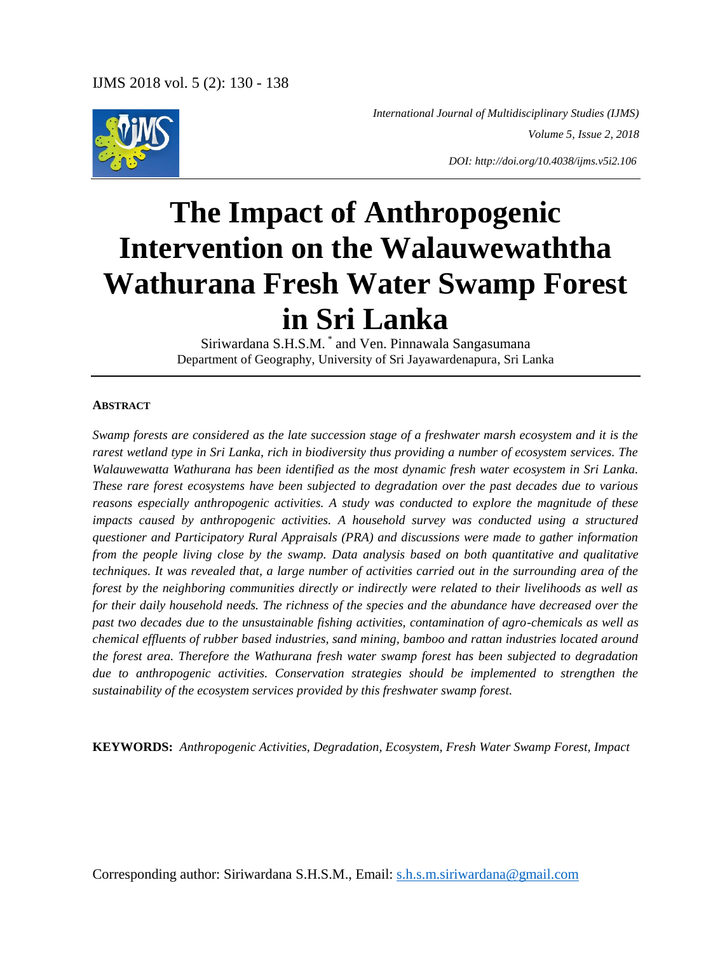

 *International Journal of Multidisciplinary Studies (IJMS) Volume 5, Issue 2, 2018*

*DOI: http://doi.org/10.4038/ijms.v5i2.106*

# **The Impact of Anthropogenic Intervention on the Walauwewaththa Wathurana Fresh Water Swamp Forest in Sri Lanka**

Siriwardana S.H.S.M. \* and Ven. Pinnawala Sangasumana Department of Geography, University of Sri Jayawardenapura, Sri Lanka

#### **ABSTRACT**

*Swamp forests are considered as the late succession stage of a freshwater marsh ecosystem and it is the rarest wetland type in Sri Lanka, rich in biodiversity thus providing a number of ecosystem services. The Walauwewatta Wathurana has been identified as the most dynamic fresh water ecosystem in Sri Lanka. These rare forest ecosystems have been subjected to degradation over the past decades due to various reasons especially anthropogenic activities. A study was conducted to explore the magnitude of these impacts caused by anthropogenic activities. A household survey was conducted using a structured questioner and Participatory Rural Appraisals (PRA) and discussions were made to gather information from the people living close by the swamp. Data analysis based on both quantitative and qualitative techniques. It was revealed that, a large number of activities carried out in the surrounding area of the forest by the neighboring communities directly or indirectly were related to their livelihoods as well as for their daily household needs. The richness of the species and the abundance have decreased over the past two decades due to the unsustainable fishing activities, contamination of agro-chemicals as well as chemical effluents of rubber based industries, sand mining, bamboo and rattan industries located around the forest area. Therefore the Wathurana fresh water swamp forest has been subjected to degradation due to anthropogenic activities. Conservation strategies should be implemented to strengthen the sustainability of the ecosystem services provided by this freshwater swamp forest.* 

**KEYWORDS:** *Anthropogenic Activities, Degradation, Ecosystem, Fresh Water Swamp Forest, Impact*

Corresponding author: Siriwardana S.H.S.M., Email: s.h.s.m.siriwardana@gmail.com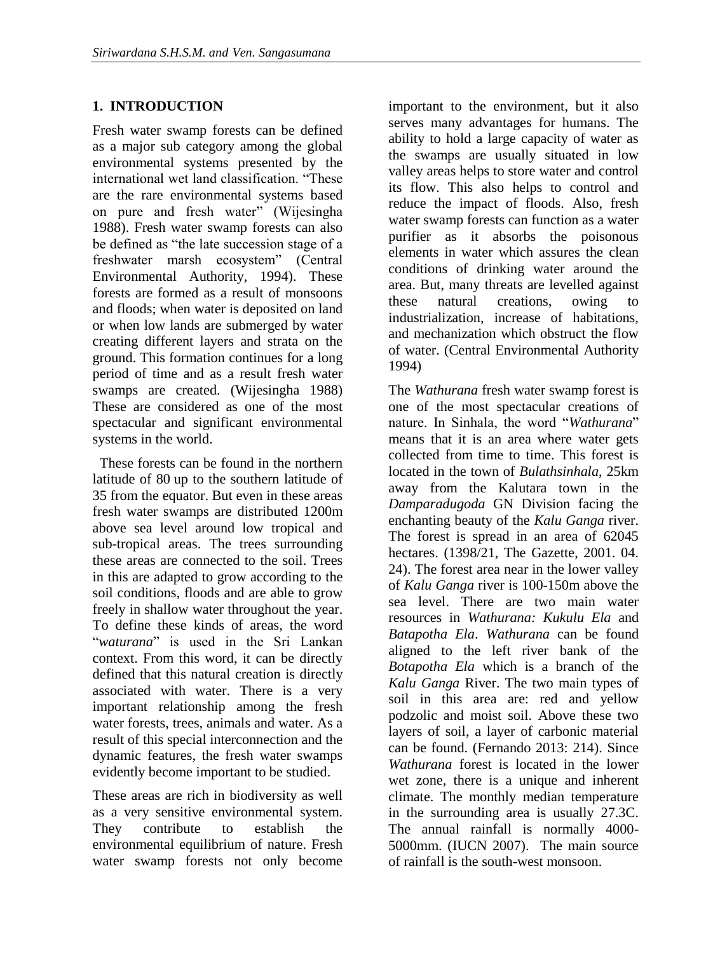# **1. INTRODUCTION**

Fresh water swamp forests can be defined as a major sub category among the global environmental systems presented by the international wet land classification. "These are the rare environmental systems based on pure and fresh water" (Wijesingha 1988). Fresh water swamp forests can also be defined as "the late succession stage of a freshwater marsh ecosystem" (Central Environmental Authority, 1994). These forests are formed as a result of monsoons and floods; when water is deposited on land or when low lands are submerged by water creating different layers and strata on the ground. This formation continues for a long period of time and as a result fresh water swamps are created. (Wijesingha 1988) These are considered as one of the most spectacular and significant environmental systems in the world.

 These forests can be found in the northern latitude of 80 up to the southern latitude of 35 from the equator. But even in these areas fresh water swamps are distributed 1200m above sea level around low tropical and sub-tropical areas. The trees surrounding these areas are connected to the soil. Trees in this are adapted to grow according to the soil conditions, floods and are able to grow freely in shallow water throughout the year. To define these kinds of areas, the word "*waturana*" is used in the Sri Lankan context. From this word, it can be directly defined that this natural creation is directly associated with water. There is a very important relationship among the fresh water forests, trees, animals and water. As a result of this special interconnection and the dynamic features, the fresh water swamps evidently become important to be studied.

These areas are rich in biodiversity as well as a very sensitive environmental system. They contribute to establish the environmental equilibrium of nature. Fresh water swamp forests not only become

important to the environment, but it also serves many advantages for humans. The ability to hold a large capacity of water as the swamps are usually situated in low valley areas helps to store water and control its flow. This also helps to control and reduce the impact of floods. Also, fresh water swamp forests can function as a water purifier as it absorbs the poisonous elements in water which assures the clean conditions of drinking water around the area. But, many threats are levelled against these natural creations, owing to industrialization, increase of habitations, and mechanization which obstruct the flow of water. (Central Environmental Authority 1994)

The *Wathurana* fresh water swamp forest is one of the most spectacular creations of nature. In Sinhala, the word "*Wathurana*" means that it is an area where water gets collected from time to time. This forest is located in the town of *Bulathsinhala*, 25km away from the Kalutara town in the *Damparadugoda* GN Division facing the enchanting beauty of the *Kalu Ganga* river. The forest is spread in an area of 62045 hectares. (1398/21, The Gazette, 2001. 04. 24). The forest area near in the lower valley of *Kalu Ganga* river is 100-150m above the sea level. There are two main water resources in *Wathurana: Kukulu Ela* and *Batapotha Ela*. *Wathurana* can be found aligned to the left river bank of the *Botapotha Ela* which is a branch of the *Kalu Ganga* River. The two main types of soil in this area are: red and yellow podzolic and moist soil. Above these two layers of soil, a layer of carbonic material can be found. (Fernando 2013: 214). Since *Wathurana* forest is located in the lower wet zone, there is a unique and inherent climate. The monthly median temperature in the surrounding area is usually 27.3C. The annual rainfall is normally 4000- 5000mm. (IUCN 2007). The main source of rainfall is the south-west monsoon.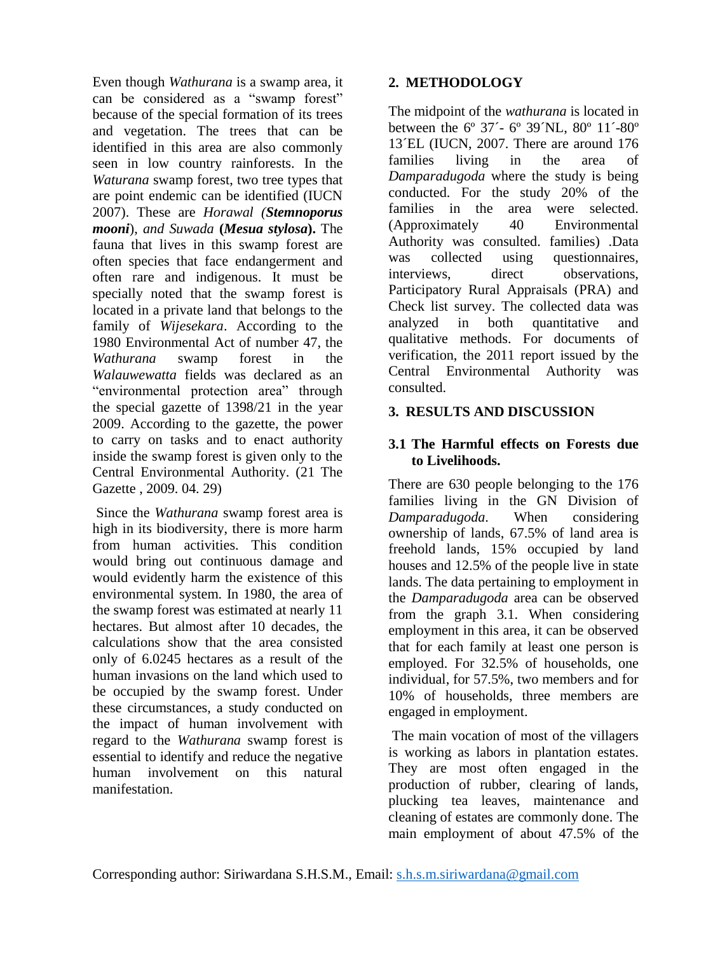Even though *Wathurana* is a swamp area, it can be considered as a "swamp forest" because of the special formation of its trees and vegetation. The trees that can be identified in this area are also commonly seen in low country rainforests. In the *Waturana* swamp forest, two tree types that are point endemic can be identified (IUCN 2007). These are *Horawal (Stemnoporus mooni*), *and Suwada* **(***Mesua stylosa***).** The fauna that lives in this swamp forest are often species that face endangerment and often rare and indigenous. It must be specially noted that the swamp forest is located in a private land that belongs to the family of *Wijesekara*. According to the 1980 Environmental Act of number 47, the *Wathurana* swamp forest in the *Walauwewatta* fields was declared as an "environmental protection area" through the special gazette of 1398/21 in the year 2009. According to the gazette, the power to carry on tasks and to enact authority inside the swamp forest is given only to the Central Environmental Authority. (21 The Gazette , 2009. 04. 29)

Since the *Wathurana* swamp forest area is high in its biodiversity, there is more harm from human activities. This condition would bring out continuous damage and would evidently harm the existence of this environmental system. In 1980, the area of the swamp forest was estimated at nearly 11 hectares. But almost after 10 decades, the calculations show that the area consisted only of 6.0245 hectares as a result of the human invasions on the land which used to be occupied by the swamp forest. Under these circumstances, a study conducted on the impact of human involvement with regard to the *Wathurana* swamp forest is essential to identify and reduce the negative human involvement on this natural manifestation.

# **2. METHODOLOGY**

The midpoint of the *wathurana* is located in between the 6º 37´- 6º 39´NL, 80º 11´-80º 13´EL (IUCN, 2007. There are around 176 families living in the area of *Damparadugoda* where the study is being conducted. For the study 20% of the families in the area were selected. (Approximately 40 Environmental Authority was consulted. families) .Data was collected using questionnaires, interviews, direct observations, Participatory Rural Appraisals (PRA) and Check list survey. The collected data was analyzed in both quantitative and qualitative methods. For documents of verification, the 2011 report issued by the Central Environmental Authority was consulted.

# **3. RESULTS AND DISCUSSION**

### **3.1 The Harmful effects on Forests due to Livelihoods.**

There are 630 people belonging to the 176 families living in the GN Division of *Damparadugoda*. When considering ownership of lands, 67.5% of land area is freehold lands, 15% occupied by land houses and 12.5% of the people live in state lands. The data pertaining to employment in the *Damparadugoda* area can be observed from the graph 3.1. When considering employment in this area, it can be observed that for each family at least one person is employed. For 32.5% of households, one individual, for 57.5%, two members and for 10% of households, three members are engaged in employment.

The main vocation of most of the villagers is working as labors in plantation estates. They are most often engaged in the production of rubber, clearing of lands, plucking tea leaves, maintenance and cleaning of estates are commonly done. The main employment of about 47.5% of the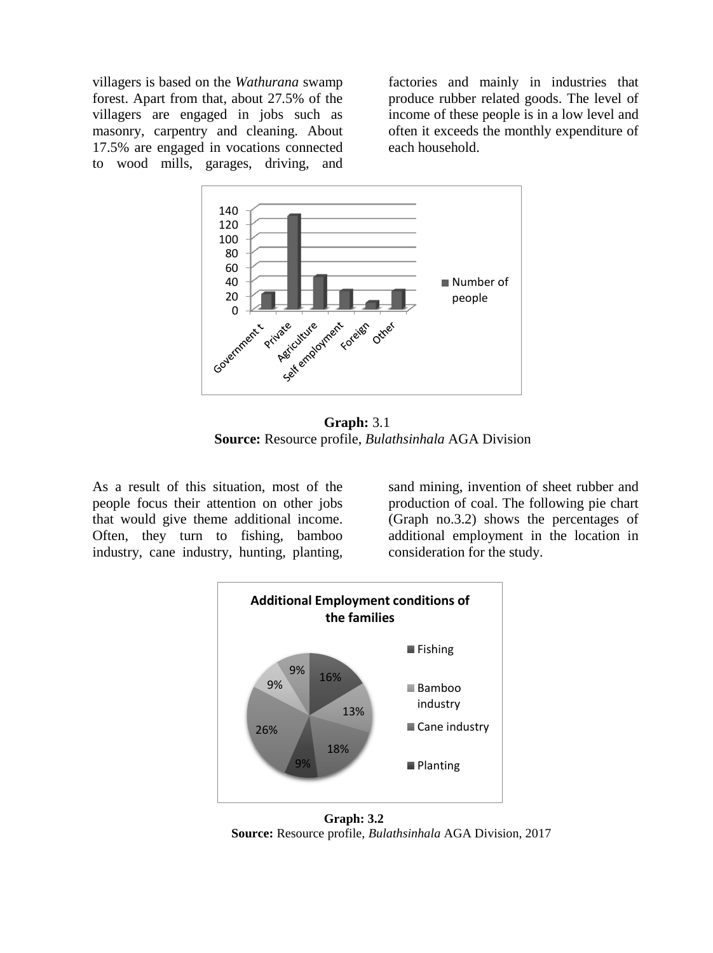villagers is based on the *Wathurana* swamp forest. Apart from that, about 27.5% of the villagers are engaged in jobs such as masonry, carpentry and cleaning. About 17.5% are engaged in vocations connected to wood mills, garages, driving, and factories and mainly in industries that produce rubber related goods. The level of income of these people is in a low level and often it exceeds the monthly expenditure of each household.



**Graph:** 3.1 **Source:** Resource profile, *Bulathsinhala* AGA Division

As a result of this situation, most of the people focus their attention on other jobs that would give theme additional income. Often, they turn to fishing, bamboo industry, cane industry, hunting, planting,

sand mining, invention of sheet rubber and production of coal. The following pie chart (Graph no.3.2) shows the percentages of additional employment in the location in consideration for the study.



**Graph: 3.2 Source:** Resource profile, *Bulathsinhala* AGA Division, 2017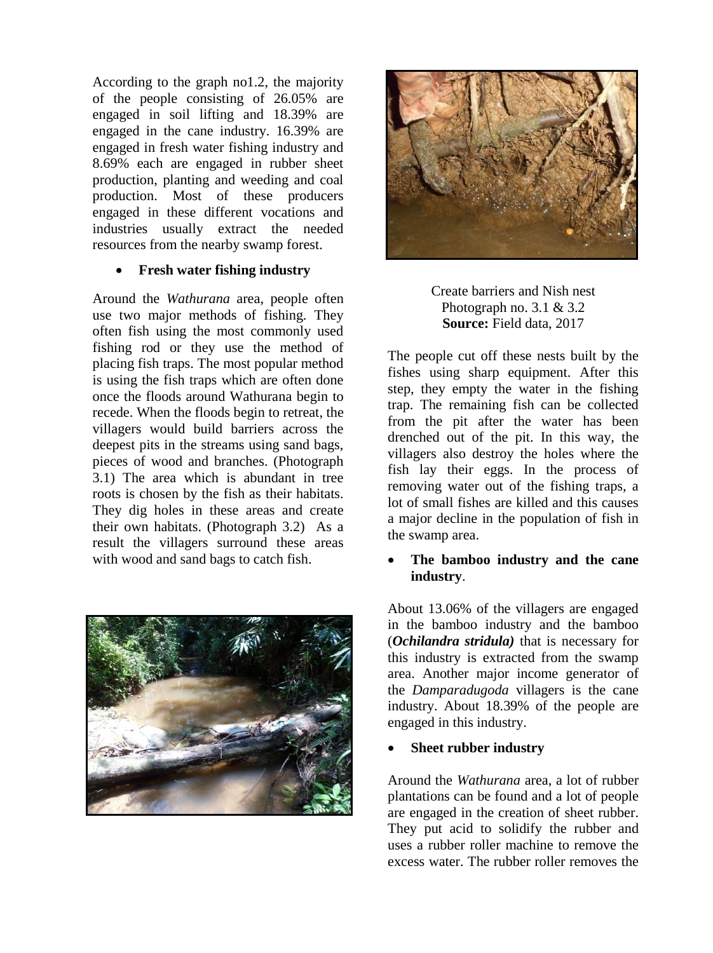According to the graph no1.2, the majority of the people consisting of 26.05% are engaged in soil lifting and 18.39% are engaged in the cane industry. 16.39% are engaged in fresh water fishing industry and 8.69% each are engaged in rubber sheet production, planting and weeding and coal production. Most of these producers engaged in these different vocations and industries usually extract the needed resources from the nearby swamp forest.

#### **Fresh water fishing industry**

Around the *Wathurana* area, people often use two major methods of fishing. They often fish using the most commonly used fishing rod or they use the method of placing fish traps. The most popular method is using the fish traps which are often done once the floods around Wathurana begin to recede. When the floods begin to retreat, the villagers would build barriers across the deepest pits in the streams using sand bags, pieces of wood and branches. (Photograph 3.1) The area which is abundant in tree roots is chosen by the fish as their habitats. They dig holes in these areas and create their own habitats. (Photograph 3.2) As a result the villagers surround these areas with wood and sand bags to catch fish.





Create barriers and Nish nest Photograph no.  $3.1 \& 3.2$ **Source:** Field data, 2017

The people cut off these nests built by the fishes using sharp equipment. After this step, they empty the water in the fishing trap. The remaining fish can be collected from the pit after the water has been drenched out of the pit. In this way, the villagers also destroy the holes where the fish lay their eggs. In the process of removing water out of the fishing traps, a lot of small fishes are killed and this causes a major decline in the population of fish in the swamp area.

# **The bamboo industry and the cane industry**.

About 13.06% of the villagers are engaged in the bamboo industry and the bamboo (*Ochilandra stridula)* that is necessary for this industry is extracted from the swamp area. Another major income generator of the *Damparadugoda* villagers is the cane industry. About 18.39% of the people are engaged in this industry.

# **Sheet rubber industry**

Around the *Wathurana* area, a lot of rubber plantations can be found and a lot of people are engaged in the creation of sheet rubber. They put acid to solidify the rubber and uses a rubber roller machine to remove the excess water. The rubber roller removes the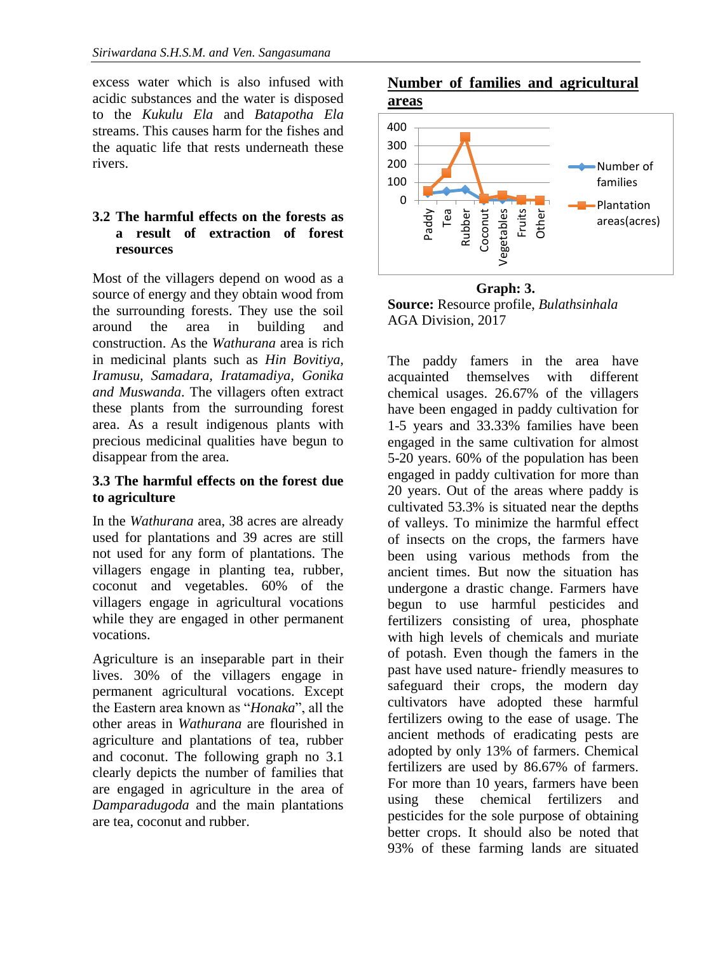excess water which is also infused with acidic substances and the water is disposed to the *Kukulu Ela* and *Batapotha Ela*  streams. This causes harm for the fishes and the aquatic life that rests underneath these rivers.

### **3.2 The harmful effects on the forests as a result of extraction of forest resources**

Most of the villagers depend on wood as a source of energy and they obtain wood from the surrounding forests. They use the soil around the area in building and construction. As the *Wathurana* area is rich in medicinal plants such as *Hin Bovitiya, Iramusu, Samadara, Iratamadiya, Gonika and Muswanda*. The villagers often extract these plants from the surrounding forest area. As a result indigenous plants with precious medicinal qualities have begun to disappear from the area.

#### **3.3 The harmful effects on the forest due to agriculture**

In the *Wathurana* area, 38 acres are already used for plantations and 39 acres are still not used for any form of plantations. The villagers engage in planting tea, rubber, coconut and vegetables. 60% of the villagers engage in agricultural vocations while they are engaged in other permanent vocations.

Agriculture is an inseparable part in their lives. 30% of the villagers engage in permanent agricultural vocations. Except the Eastern area known as "*Honaka*", all the other areas in *Wathurana* are flourished in agriculture and plantations of tea, rubber and coconut. The following graph no 3.1 clearly depicts the number of families that are engaged in agriculture in the area of *Damparadugoda* and the main plantations are tea, coconut and rubber.





 **Graph: 3. Source:** Resource profile, *Bulathsinhala* AGA Division, 2017

The paddy famers in the area have acquainted themselves with different chemical usages. 26.67% of the villagers have been engaged in paddy cultivation for 1-5 years and 33.33% families have been engaged in the same cultivation for almost 5-20 years. 60% of the population has been engaged in paddy cultivation for more than 20 years. Out of the areas where paddy is cultivated 53.3% is situated near the depths of valleys. To minimize the harmful effect of insects on the crops, the farmers have been using various methods from the ancient times. But now the situation has undergone a drastic change. Farmers have begun to use harmful pesticides and fertilizers consisting of urea, phosphate with high levels of chemicals and muriate of potash. Even though the famers in the past have used nature- friendly measures to safeguard their crops, the modern day cultivators have adopted these harmful fertilizers owing to the ease of usage. The ancient methods of eradicating pests are adopted by only 13% of farmers. Chemical fertilizers are used by 86.67% of farmers. For more than 10 years, farmers have been using these chemical fertilizers and pesticides for the sole purpose of obtaining better crops. It should also be noted that 93% of these farming lands are situated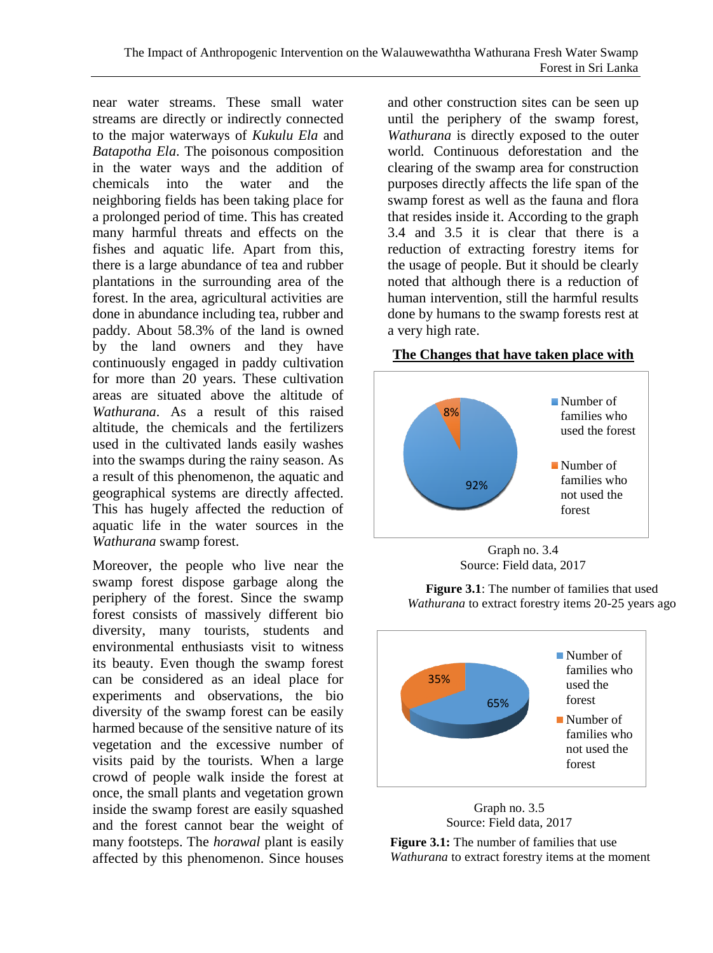near water streams. These small water streams are directly or indirectly connected to the major waterways of *Kukulu Ela* and *Batapotha Ela*. The poisonous composition in the water ways and the addition of chemicals into the water and the neighboring fields has been taking place for a prolonged period of time. This has created many harmful threats and effects on the fishes and aquatic life. Apart from this, there is a large abundance of tea and rubber plantations in the surrounding area of the forest. In the area, agricultural activities are done in abundance including tea, rubber and paddy. About 58.3% of the land is owned by the land owners and they have continuously engaged in paddy cultivation for more than 20 years. These cultivation areas are situated above the altitude of *Wathurana*. As a result of this raised altitude, the chemicals and the fertilizers used in the cultivated lands easily washes into the swamps during the rainy season. As a result of this phenomenon, the aquatic and geographical systems are directly affected. This has hugely affected the reduction of aquatic life in the water sources in the *Wathurana* swamp forest.

Moreover, the people who live near the swamp forest dispose garbage along the periphery of the forest. Since the swamp forest consists of massively different bio diversity, many tourists, students and environmental enthusiasts visit to witness its beauty. Even though the swamp forest can be considered as an ideal place for experiments and observations, the bio diversity of the swamp forest can be easily harmed because of the sensitive nature of its vegetation and the excessive number of visits paid by the tourists. When a large crowd of people walk inside the forest at once, the small plants and vegetation grown inside the swamp forest are easily squashed and the forest cannot bear the weight of many footsteps. The *horawal* plant is easily affected by this phenomenon. Since houses

and other construction sites can be seen up until the periphery of the swamp forest, *Wathurana* is directly exposed to the outer world. Continuous deforestation and the clearing of the swamp area for construction purposes directly affects the life span of the swamp forest as well as the fauna and flora that resides inside it. According to the graph 3.4 and 3.5 it is clear that there is a reduction of extracting forestry items for the usage of people. But it should be clearly noted that although there is a reduction of human intervention, still the harmful results done by humans to the swamp forests rest at a very high rate.

#### **The Changes that have taken place with**



Source: Field data, 2017

**Figure 3.1**: The number of families that used *Wathurana* to extract forestry items 20-25 years ago





**Figure 3.1:** The number of families that use *Wathurana* to extract forestry items at the moment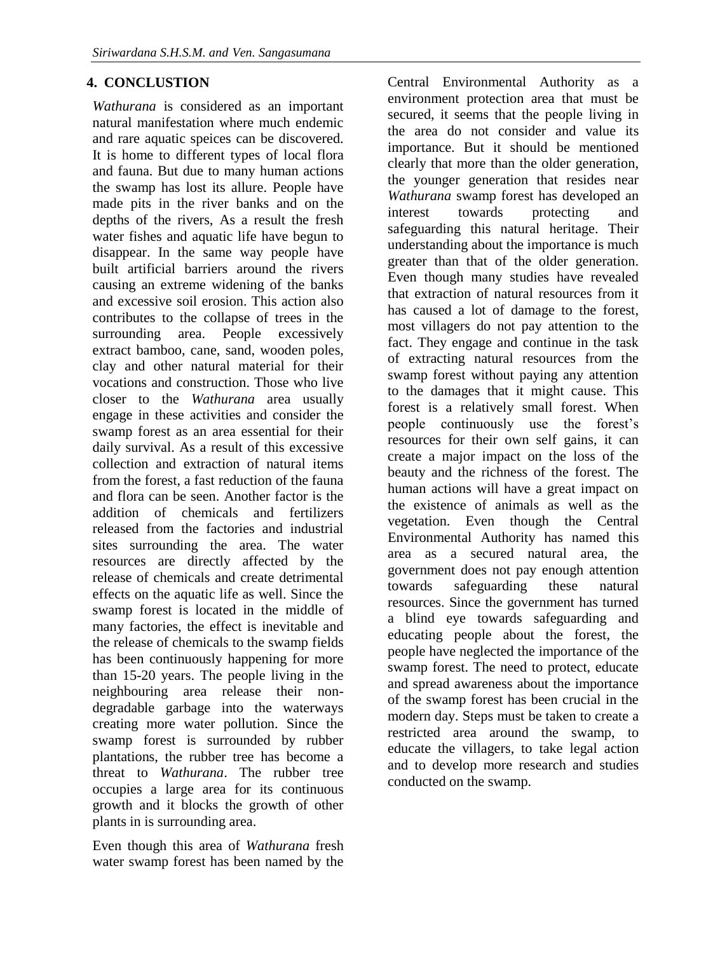# **4. CONCLUSTION**

*Wathurana* is considered as an important natural manifestation where much endemic and rare aquatic speices can be discovered. It is home to different types of local flora and fauna. But due to many human actions the swamp has lost its allure. People have made pits in the river banks and on the depths of the rivers, As a result the fresh water fishes and aquatic life have begun to disappear. In the same way people have built artificial barriers around the rivers causing an extreme widening of the banks and excessive soil erosion. This action also contributes to the collapse of trees in the surrounding area. People excessively extract bamboo, cane, sand, wooden poles, clay and other natural material for their vocations and construction. Those who live closer to the *Wathurana* area usually engage in these activities and consider the swamp forest as an area essential for their daily survival. As a result of this excessive collection and extraction of natural items from the forest, a fast reduction of the fauna and flora can be seen. Another factor is the addition of chemicals and fertilizers released from the factories and industrial sites surrounding the area. The water resources are directly affected by the release of chemicals and create detrimental effects on the aquatic life as well. Since the swamp forest is located in the middle of many factories, the effect is inevitable and the release of chemicals to the swamp fields has been continuously happening for more than 15-20 years. The people living in the neighbouring area release their nondegradable garbage into the waterways creating more water pollution. Since the swamp forest is surrounded by rubber plantations, the rubber tree has become a threat to *Wathurana*. The rubber tree occupies a large area for its continuous growth and it blocks the growth of other plants in is surrounding area.

Even though this area of *Wathurana* fresh water swamp forest has been named by the

Central Environmental Authority as a environment protection area that must be secured, it seems that the people living in the area do not consider and value its importance. But it should be mentioned clearly that more than the older generation, the younger generation that resides near *Wathurana* swamp forest has developed an interest towards protecting and safeguarding this natural heritage. Their understanding about the importance is much greater than that of the older generation. Even though many studies have revealed that extraction of natural resources from it has caused a lot of damage to the forest, most villagers do not pay attention to the fact. They engage and continue in the task of extracting natural resources from the swamp forest without paying any attention to the damages that it might cause. This forest is a relatively small forest. When people continuously use the forest's resources for their own self gains, it can create a major impact on the loss of the beauty and the richness of the forest. The human actions will have a great impact on the existence of animals as well as the vegetation. Even though the Central Environmental Authority has named this area as a secured natural area, the government does not pay enough attention towards safeguarding these natural resources. Since the government has turned a blind eye towards safeguarding and educating people about the forest, the people have neglected the importance of the swamp forest. The need to protect, educate and spread awareness about the importance of the swamp forest has been crucial in the modern day. Steps must be taken to create a restricted area around the swamp, to educate the villagers, to take legal action and to develop more research and studies conducted on the swamp.